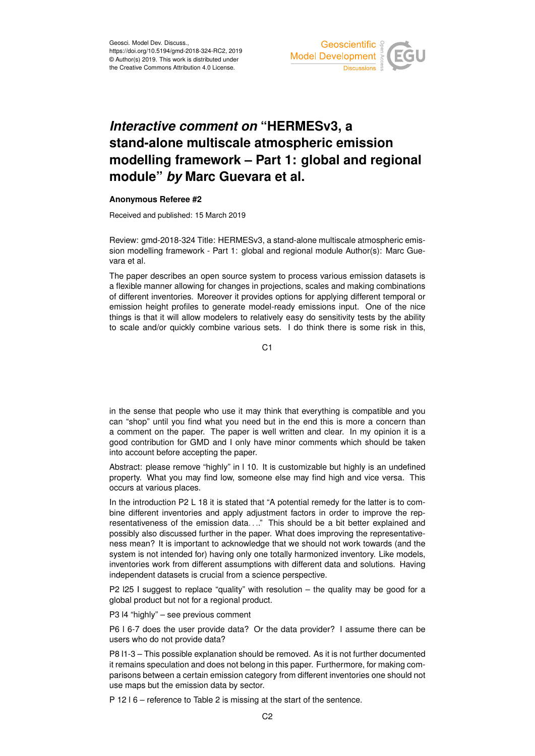

## *Interactive comment on* **"HERMESv3, a stand-alone multiscale atmospheric emission modelling framework – Part 1: global and regional module"** *by* **Marc Guevara et al.**

## **Anonymous Referee #2**

Received and published: 15 March 2019

Review: gmd-2018-324 Title: HERMESv3, a stand-alone multiscale atmospheric emission modelling framework - Part 1: global and regional module Author(s): Marc Guevara et al.

The paper describes an open source system to process various emission datasets is a flexible manner allowing for changes in projections, scales and making combinations of different inventories. Moreover it provides options for applying different temporal or emission height profiles to generate model-ready emissions input. One of the nice things is that it will allow modelers to relatively easy do sensitivity tests by the ability to scale and/or quickly combine various sets. I do think there is some risk in this,

C<sub>1</sub>

in the sense that people who use it may think that everything is compatible and you can "shop" until you find what you need but in the end this is more a concern than a comment on the paper. The paper is well written and clear. In my opinion it is a good contribution for GMD and I only have minor comments which should be taken into account before accepting the paper.

Abstract: please remove "highly" in l 10. It is customizable but highly is an undefined property. What you may find low, someone else may find high and vice versa. This occurs at various places.

In the introduction P2 L 18 it is stated that "A potential remedy for the latter is to combine different inventories and apply adjustment factors in order to improve the representativeness of the emission data. . .." This should be a bit better explained and possibly also discussed further in the paper. What does improving the representativeness mean? It is important to acknowledge that we should not work towards (and the system is not intended for) having only one totally harmonized inventory. Like models, inventories work from different assumptions with different data and solutions. Having independent datasets is crucial from a science perspective.

P2 l25 I suggest to replace "quality" with resolution – the quality may be good for a global product but not for a regional product.

P3 l4 "highly" – see previous comment

P6 l 6-7 does the user provide data? Or the data provider? I assume there can be users who do not provide data?

P8 l1-3 – This possible explanation should be removed. As it is not further documented it remains speculation and does not belong in this paper. Furthermore, for making comparisons between a certain emission category from different inventories one should not use maps but the emission data by sector.

P 12 l 6 – reference to Table 2 is missing at the start of the sentence.